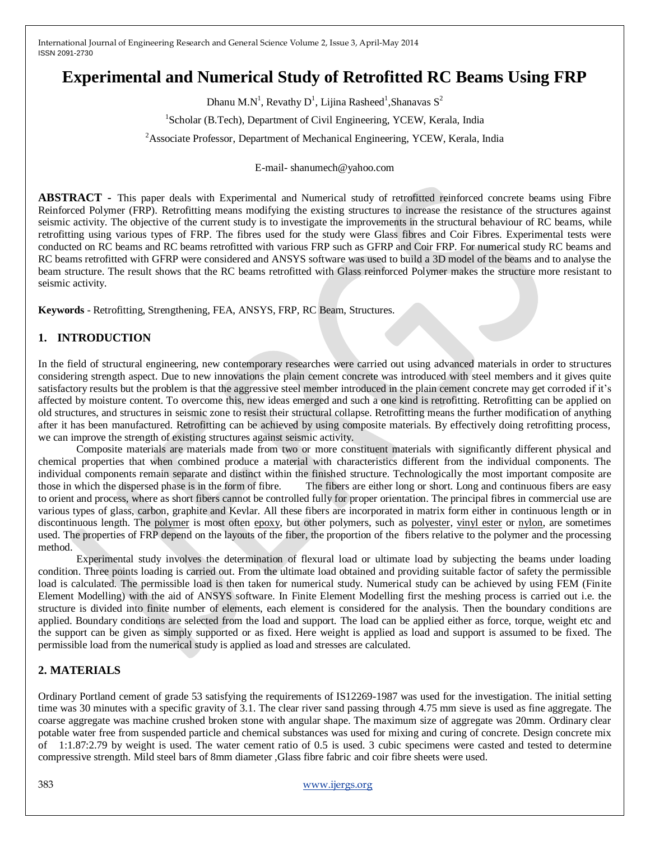# **Experimental and Numerical Study of Retrofitted RC Beams Using FRP**

Dhanu M.N<sup>1</sup>, Revathy D<sup>1</sup>, Lijina Rasheed<sup>1</sup>, Shanavas S<sup>2</sup>

<sup>1</sup>Scholar (B.Tech), Department of Civil Engineering, YCEW, Kerala, India

<sup>2</sup> Associate Professor, Department of Mechanical Engineering, YCEW, Kerala, India

E-mail- shanumech@yahoo.com

**ABSTRACT -** This paper deals with Experimental and Numerical study of retrofitted reinforced concrete beams using Fibre Reinforced Polymer (FRP). Retrofitting means modifying the existing structures to increase the resistance of the structures against seismic activity. The objective of the current study is to investigate the improvements in the structural behaviour of RC beams, while retrofitting using various types of FRP. The fibres used for the study were Glass fibres and Coir Fibres. Experimental tests were conducted on RC beams and RC beams retrofitted with various FRP such as GFRP and Coir FRP. For numerical study RC beams and RC beams retrofitted with GFRP were considered and ANSYS software was used to build a 3D model of the beams and to analyse the beam structure. The result shows that the RC beams retrofitted with Glass reinforced Polymer makes the structure more resistant to seismic activity.

**Keywords** - Retrofitting, Strengthening, FEA, ANSYS, FRP, RC Beam, Structures.

#### **1. INTRODUCTION**

In the field of structural engineering, new contemporary researches were carried out using advanced materials in order to structures considering strength aspect. Due to new innovations the plain cement concrete was introduced with steel members and it gives quite satisfactory results but the problem is that the aggressive steel member introduced in the plain cement concrete may get corroded if it's affected by moisture content. To overcome this, new ideas emerged and such a one kind is retrofitting. Retrofitting can be applied on old structures, and structures in seismic zone to resist their structural collapse. Retrofitting means the further modification of anything after it has been manufactured. Retrofitting can be achieved by using composite materials. By effectively doing retrofitting process, we can improve the strength of existing structures against seismic activity.

Composite materials are materials made from two or more constituent materials with significantly different physical and chemical properties that when combined produce a material with characteristics different from the individual components. The individual components remain separate and distinct within the finished structure. Technologically the most important composite are those in which the dispersed phase is in the form of fibre. The fibers are either long or short. Long and continuous fibers are easy to orient and process, where as short fibers cannot be controlled fully for proper orientation. The principal fibres in commercial use are various types of glass, carbon, graphite and Kevlar. All these fibers are incorporated in matrix form either in continuous length or in discontinuous length. The [polymer](http://en.wikipedia.org/wiki/Polymer) is most often [epoxy,](http://en.wikipedia.org/wiki/Epoxy) but other polymers, such as [polyester,](http://en.wikipedia.org/wiki/Polyester) [vinyl ester](http://en.wikipedia.org/wiki/Vinyl_ester) or [nylon,](http://en.wikipedia.org/wiki/Nylon) are sometimes used. The properties of FRP depend on the layouts of the fiber, the proportion of the fibers relative to the polymer and the processing method.

Experimental study involves the determination of flexural load or ultimate load by subjecting the beams under loading condition. Three points loading is carried out. From the ultimate load obtained and providing suitable factor of safety the permissible load is calculated. The permissible load is then taken for numerical study. Numerical study can be achieved by using FEM (Finite Element Modelling) with the aid of ANSYS software. In Finite Element Modelling first the meshing process is carried out i.e. the structure is divided into finite number of elements, each element is considered for the analysis. Then the boundary conditions are applied. Boundary conditions are selected from the load and support. The load can be applied either as force, torque, weight etc and the support can be given as simply supported or as fixed. Here weight is applied as load and support is assumed to be fixed. The permissible load from the numerical study is applied as load and stresses are calculated.

#### **2. MATERIALS**

Ordinary Portland cement of grade 53 satisfying the requirements of IS12269-1987 was used for the investigation. The initial setting time was 30 minutes with a specific gravity of 3.1. The clear river sand passing through 4.75 mm sieve is used as fine aggregate. The coarse aggregate was machine crushed broken stone with angular shape. The maximum size of aggregate was 20mm. Ordinary clear potable water free from suspended particle and chemical substances was used for mixing and curing of concrete. Design concrete mix of 1:1.87:2.79 by weight is used. The water cement ratio of 0.5 is used. 3 cubic specimens were casted and tested to determine compressive strength. Mild steel bars of 8mm diameter ,Glass fibre fabric and coir fibre sheets were used.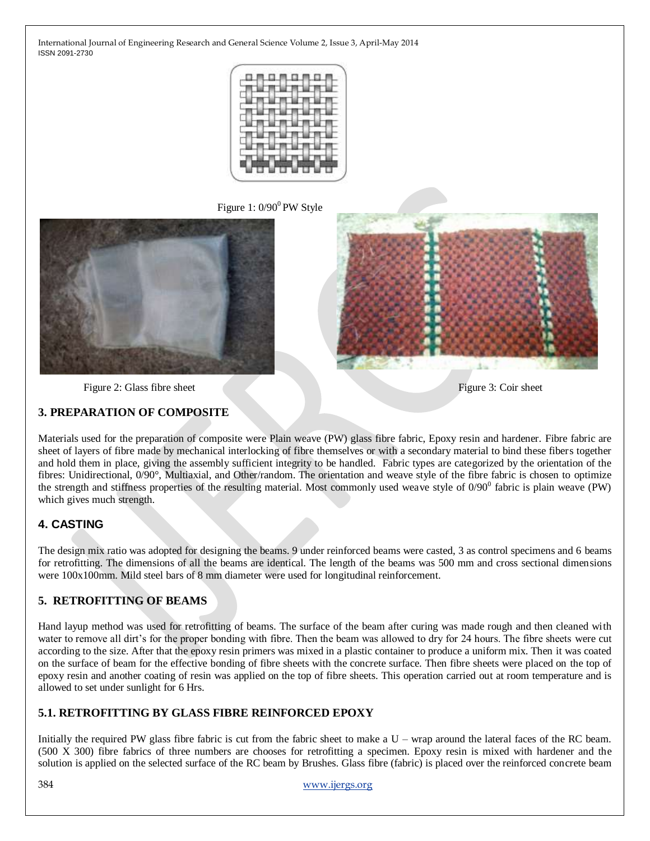

Figure 1:  $0/90^0$  PW Style





Figure 2: Glass fibre sheet Figure 3: Coir sheet Figure 3: Coir sheet

#### **3. PREPARATION OF COMPOSITE**

Materials used for the preparation of composite were Plain weave (PW) glass fibre fabric, Epoxy resin and hardener. Fibre fabric are sheet of layers of fibre made by mechanical interlocking of fibre themselves or with a secondary material to bind these fibers together and hold them in place, giving the assembly sufficient integrity to be handled. Fabric types are categorized by the orientation of the fibres: Unidirectional, 0/90°, Multiaxial, and Other/random. The orientation and weave style of the fibre fabric is chosen to optimize the strength and stiffness properties of the resulting material. Most commonly used weave style of  $0/90^0$  fabric is plain weave (PW) which gives much strength.

## **4. CASTING**

The design mix ratio was adopted for designing the beams. 9 under reinforced beams were casted, 3 as control specimens and 6 beams for retrofitting. The dimensions of all the beams are identical. The length of the beams was 500 mm and cross sectional dimensions were 100x100mm. Mild steel bars of 8 mm diameter were used for longitudinal reinforcement.

#### **5. RETROFITTING OF BEAMS**

Hand layup method was used for retrofitting of beams. The surface of the beam after curing was made rough and then cleaned with water to remove all dirt's for the proper bonding with fibre. Then the beam was allowed to dry for 24 hours. The fibre sheets were cut according to the size. After that the epoxy resin primers was mixed in a plastic container to produce a uniform mix. Then it was coated on the surface of beam for the effective bonding of fibre sheets with the concrete surface. Then fibre sheets were placed on the top of epoxy resin and another coating of resin was applied on the top of fibre sheets. This operation carried out at room temperature and is allowed to set under sunlight for 6 Hrs.

## **5.1. RETROFITTING BY GLASS FIBRE REINFORCED EPOXY**

Initially the required PW glass fibre fabric is cut from the fabric sheet to make a U – wrap around the lateral faces of the RC beam. (500 X 300) fibre fabrics of three numbers are chooses for retrofitting a specimen. Epoxy resin is mixed with hardener and the solution is applied on the selected surface of the RC beam by Brushes. Glass fibre (fabric) is placed over the reinforced concrete beam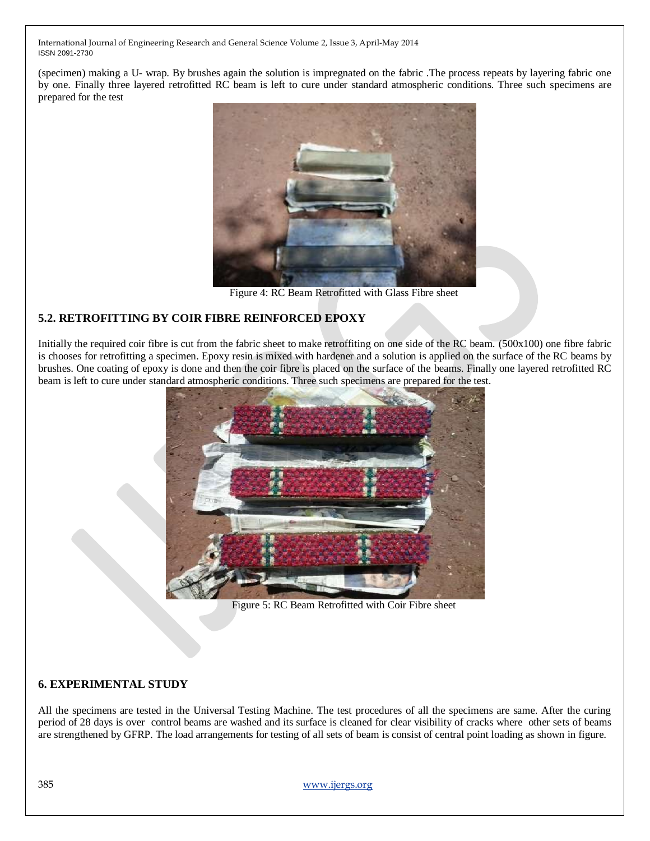(specimen) making a U- wrap. By brushes again the solution is impregnated on the fabric .The process repeats by layering fabric one by one. Finally three layered retrofitted RC beam is left to cure under standard atmospheric conditions. Three such specimens are prepared for the test



Figure 4: RC Beam Retrofitted with Glass Fibre sheet

## **5.2. RETROFITTING BY COIR FIBRE REINFORCED EPOXY**

Initially the required coir fibre is cut from the fabric sheet to make retroffiting on one side of the RC beam. (500x100) one fibre fabric is chooses for retrofitting a specimen. Epoxy resin is mixed with hardener and a solution is applied on the surface of the RC beams by brushes. One coating of epoxy is done and then the coir fibre is placed on the surface of the beams. Finally one layered retrofitted RC beam is left to cure under standard atmospheric conditions. Three such specimens are prepared for the test.



Figure 5: RC Beam Retrofitted with Coir Fibre sheet

#### **6. EXPERIMENTAL STUDY**

All the specimens are tested in the Universal Testing Machine. The test procedures of all the specimens are same. After the curing period of 28 days is over control beams are washed and its surface is cleaned for clear visibility of cracks where other sets of beams are strengthened by GFRP. The load arrangements for testing of all sets of beam is consist of central point loading as shown in figure.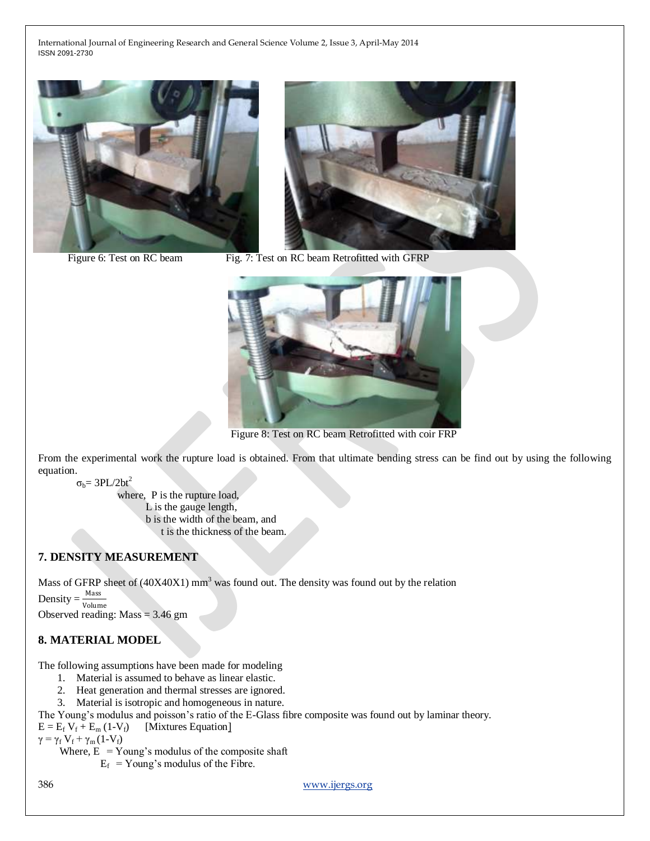



Figure 6: Test on RC beam Fig. 7: Test on RC beam Retrofitted with GFRP



Figure 8: Test on RC beam Retrofitted with coir FRP

From the experimental work the rupture load is obtained. From that ultimate bending stress can be find out by using the following equation.

 $\sigma_{b}$ = 3PL/2bt<sup>2</sup>

where, P is the rupture load, L is the gauge length, b is the width of the beam, and t is the thickness of the beam.

#### **7. DENSITY MEASUREMENT**

Mass of GFRP sheet of  $(40X40X1)$  mm<sup>3</sup> was found out. The density was found out by the relation

Density  $=$   $\frac{\text{Mass}}{\text{Volume}}$ Observed reading: Mass = 3.46 gm

#### **8. MATERIAL MODEL**

The following assumptions have been made for modeling

- 1. Material is assumed to behave as linear elastic.
- 2. Heat generation and thermal stresses are ignored.
- 3. Material is isotropic and homogeneous in nature.

The Young"s modulus and poisson"s ratio of the E-Glass fibre composite was found out by laminar theory.

 $E = E_f V_f + E_m (1-V_f)$  [Mixtures Equation]

 $\gamma = \gamma_f V_f + \gamma_m (1-V_f)$ 

Where,  $E = Young's$  modulus of the composite shaft

 $E_f$  = Young's modulus of the Fibre.

386 [www.ijergs.org](http://www.ijergs.org/)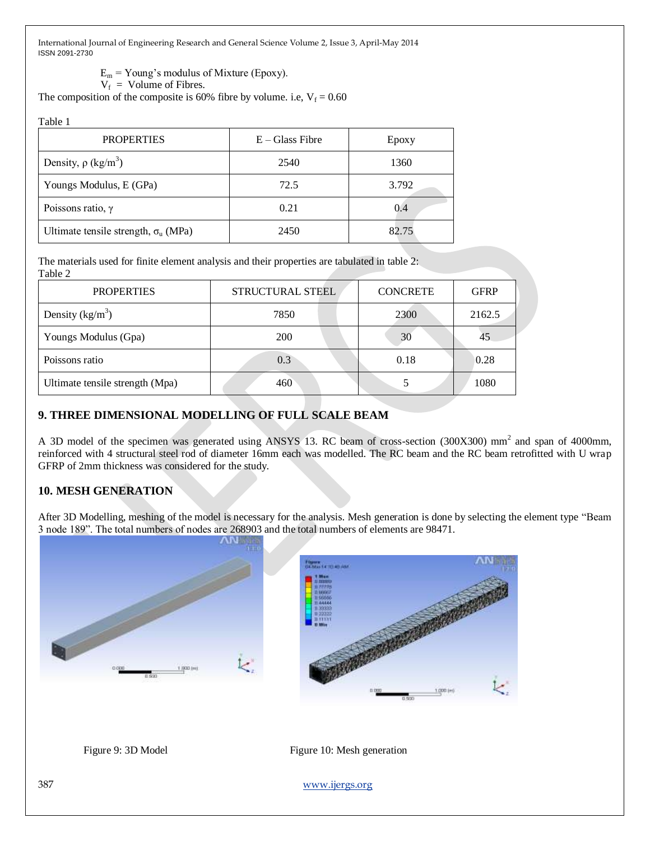$E_m$  = Young's modulus of Mixture (Epoxy).

 $V_f$  = Volume of Fibres.

The composition of the composite is 60% fibre by volume. i.e,  $V_f = 0.60$ 

Table 1

| <b>PROPERTIES</b>                           | $E - Glass$ Fibre | Epoxy |
|---------------------------------------------|-------------------|-------|
| Density, $\rho$ (kg/m <sup>3</sup> )        | 2540              | 1360  |
| Youngs Modulus, E (GPa)                     | 72.5              | 3.792 |
| Poissons ratio, $\gamma$                    | 0.21              | 0.4   |
| Ultimate tensile strength, $\sigma_u$ (MPa) | 2450              | 82.75 |

The materials used for finite element analysis and their properties are tabulated in table 2: Table 2

| <b>PROPERTIES</b>               | <b>STRUCTURAL STEEL</b> | <b>CONCRETE</b> | <b>GFRP</b> |
|---------------------------------|-------------------------|-----------------|-------------|
| Density $(kg/m^3)$              | 7850                    | 2300            | 2162.5      |
| Youngs Modulus (Gpa)            | <b>200</b>              | 30              |             |
| Poissons ratio                  | 0.3                     | 0.18            | 0.28        |
| Ultimate tensile strength (Mpa) | 460                     |                 | 1080        |

## **9. THREE DIMENSIONAL MODELLING OF FULL SCALE BEAM**

A 3D model of the specimen was generated using ANSYS 13. RC beam of cross-section (300X300) mm<sup>2</sup> and span of 4000mm, reinforced with 4 structural steel rod of diameter 16mm each was modelled. The RC beam and the RC beam retrofitted with U wrap GFRP of 2mm thickness was considered for the study.

## **10. MESH GENERATION**

After 3D Modelling, meshing of the model is necessary for the analysis. Mesh generation is done by selecting the element type "Beam 3 node 189". The total numbers of nodes are 268903 and the total numbers of elements are 98471.



Figure 9: 3D Model Figure 10: Mesh generation

387 [www.ijergs.org](http://www.ijergs.org/)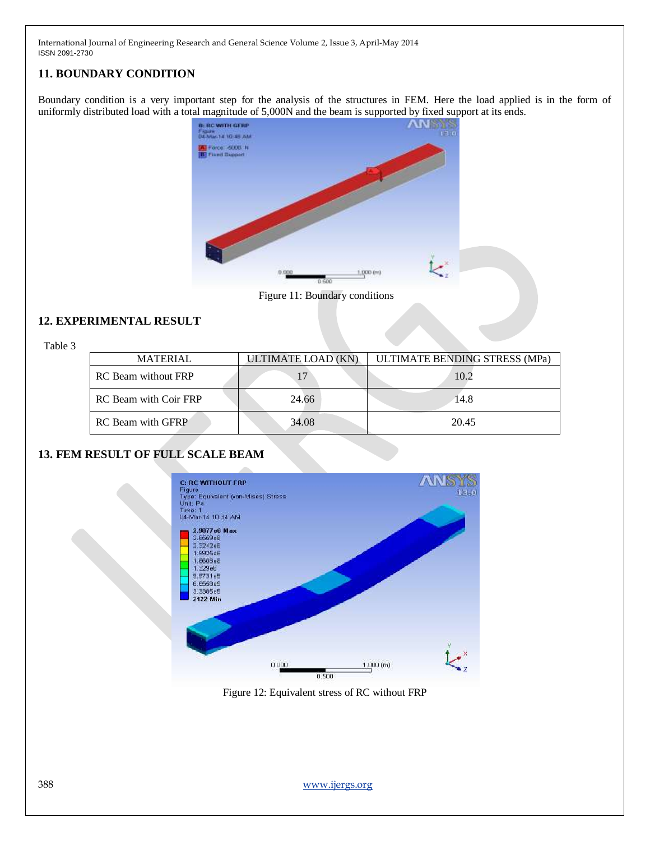## **11. BOUNDARY CONDITION**

Boundary condition is a very important step for the analysis of the structures in FEM. Here the load applied is in the form of uniformly distributed load with a total magnitude of 5,000N and the beam is supported by fixed support at its ends.



Figure 11: Boundary conditions

## **12. EXPERIMENTAL RESULT**

Table 3

| <b>MATERIAL</b>            | ULTIMATE LOAD (KN) | ULTIMATE BENDING STRESS (MPa) |
|----------------------------|--------------------|-------------------------------|
| <b>RC</b> Beam without FRP | 17                 | 10.2                          |
| RC Beam with Coir FRP      | 24.66              | 14.8                          |
| RC Beam with GFRP          | 34.08              | 20.45                         |

# **13. FEM RESULT OF FULL SCALE BEAM**



Figure 12: Equivalent stress of RC without FRP

388 [www.ijergs.org](http://www.ijergs.org/)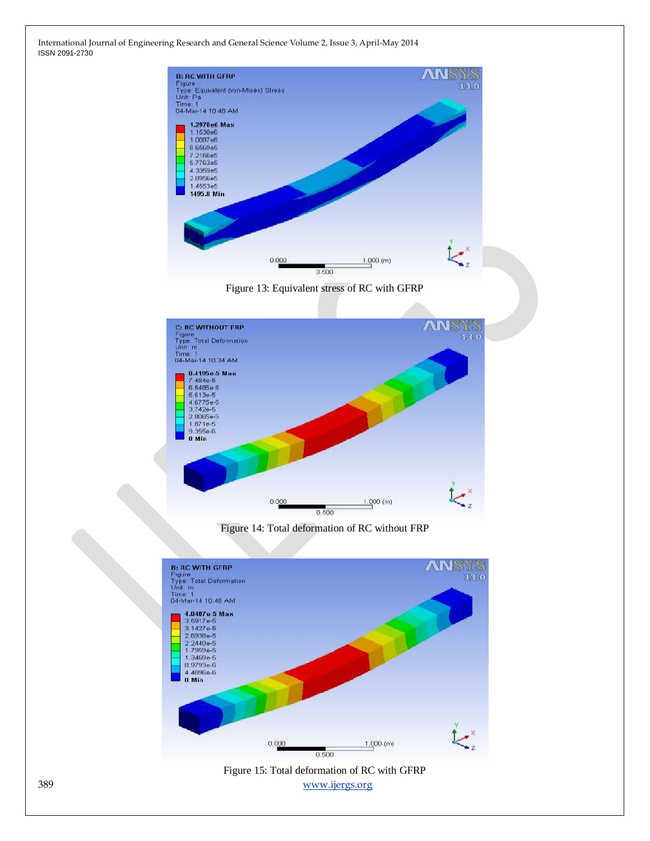





Figure 14: Total deformation of RC without FRP



389 [www.ijergs.org](http://www.ijergs.org/) Figure 15: Total deformation of RC with GFRP